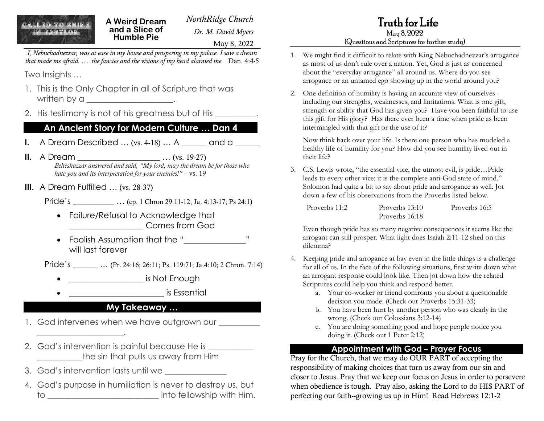**A Weird Dream and a Slice of Humble Pie**

*NorthRidge Church Dr. M. David Myers* May 8, 2022

*I, Nebuchadnezzar, was at ease in my house and prospering in my palace. I saw a dream that made me afraid. … the fancies and the visions of my head alarmed me.* Dan. 4:4-5

Two Insights …

- 1. This is the Only Chapter in all of Scripture that was written by a \_\_\_\_\_\_\_\_\_\_\_\_\_\_\_\_\_\_\_.
- 2. His testimony is not of his greatness but of His

### **An Ancient Story for Modern Culture … Dan 4**

**I.** A Dream Described ... (vs. 4-18) ... A \_\_\_\_\_\_ and a \_\_\_\_\_

**II.** A Dream \_\_\_\_\_\_\_\_\_\_\_\_\_\_\_\_\_\_\_\_\_\_\_\_\_\_... (vs. 19-27) *Belteshazzar answered and said, "My lord, may the dream be for those who hate you and its interpretation for your enemies!"* – vs. 19

**III.** A Dream Fulfilled ... (vs. 28-37)

Pride's \_\_\_\_\_\_\_\_\_\_ … (cp. 1 Chron 29:11-12; Ja. 4:13-17; Ps 24:1)

- Failure/Refusal to Acknowledge that \_\_\_\_\_\_\_\_\_\_\_\_\_\_\_\_\_\_ Comes from God
- Foolish Assumption that the "\_\_\_\_\_\_\_\_\_\_\_\_\_\_\_" will last forever

Pride's \_\_\_\_\_\_\_ ... (Pr. 24:16; 26:11; Ps. 119:71; Ja.4:10; 2 Chron. 7:14)

- **end of the same of the same of the same of the same of the same of the same of the same of the same of the same of the same of the same of the same of the same of the same of the same of the same of the same of the same o**
- $\blacksquare$  is Essential

### **My Takeaway …**

- 1. God intervenes when we have outgrown our \_\_\_\_\_\_\_\_\_
- 2. God's intervention is painful because He is \_\_\_\_\_\_\_\_\_\_ the sin that pulls us away from Him
- 3. God's intervention lasts until we \_\_\_\_\_\_\_\_\_\_\_\_\_\_\_

\_\_\_\_\_\_\_\_\_\_\_\_\_\_\_\_\_\_\_\_\_.

4. God's purpose in humiliation is never to destroy us, but to **the contract of the contract of the contract of the contract of the contract of the contract of the contract of the contract of the contract of the contract of the contract of the contract of the contract of the contra** 

# Truth for Life

#### May 8, 2022 (Questions and Scriptures for further study)

- 1. We might find it difficult to relate with King Nebuchadnezzar's arrogance as most of us don't rule over a nation. Yet, God is just as concerned about the "everyday arrogance" all around us. Where do you see arrogance or an untamed ego showing up in the world around you?
- 2. One definition of humility is having an accurate view of ourselves including our strengths, weaknesses, and limitations. What is one gift, strength or ability that God has given you? Have you been faithful to use this gift for His glory? Has there ever been a time when pride as been intermingled with that gift or the use of it?

Now think back over your life. Is there one person who has modeled a healthy life of humility for you? How did you see humility lived out in their life?

3. C.S. Lewis wrote, "the essential vice, the utmost evil, is pride…Pride leads to every other vice: it is the complete anti-God state of mind." Solomon had quite a bit to say about pride and arrogance as well. Jot down a few of his observations from the Proverbs listed below.

| Proverbs 11:2 | Proverbs 13:10 | Proverbs 16:5 |
|---------------|----------------|---------------|
|               | Proverbs 16:18 |               |

Even though pride has so many negative consequences it seems like the arrogant can still prosper. What light does Isaiah 2:11-12 shed on this dilemma?

- 4. Keeping pride and arrogance at bay even in the little things is a challenge for all of us. In the face of the following situations, first write down what an arrogant response could look like. Then jot down how the related Scriptures could help you think and respond better.
	- a. Your co-worker or friend confronts you about a questionable decision you made. (Check out Proverbs 15:31-33)
	- b. You have been hurt by another person who was clearly in the wrong. (Check out Colossians 3:12-14)
	- c. You are doing something good and hope people notice you doing it. (Check out 1 Peter 2:12)

#### **Appointment with God – Prayer Focus**

Pray for the Church, that we may do OUR PART of accepting the responsibility of making choices that turn us away from our sin and closer to Jesus. Pray that we keep our focus on Jesus in order to persevere when obedience is tough. Pray also, asking the Lord to do HIS PART of perfecting our faith--growing us up in Him! Read Hebrews 12:1-2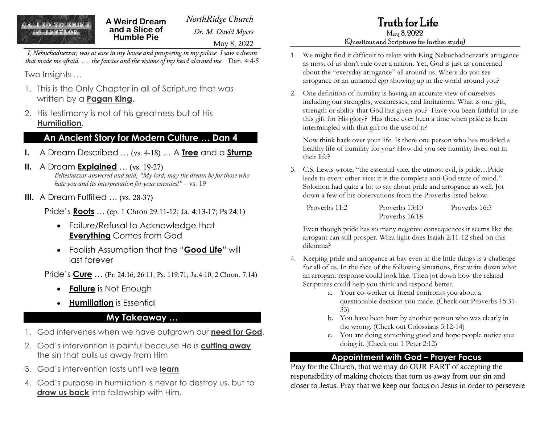**A Weird Dream and a Slice of Humble Pie**

*NorthRidge Church Dr. M. David Myers* May 8, 2022

*I, Nebuchadnezzar, was at ease in my house and prospering in my palace. I saw a dream that made me afraid. … the fancies and the visions of my head alarmed me.* Dan. 4:4-5

Two Insights …

- 1. This is the Only Chapter in all of Scripture that was written by a **Pagan King**.
- 2. His testimony is not of his greatness but of His **Humiliation**.

### **An Ancient Story for Modern Culture … Dan 4**

- **I.** A Dream Described … (vs. 4-18) … A **Tree** and a **Stump**
- **II.** A Dream **Explained** … (vs. 19-27) *Belteshazzar answered and said, "My lord, may the dream be for those who hate you and its interpretation for your enemies!"* – vs. 19
- **III.** A Dream Fulfilled ... (vs. 28-37)

Pride's **Roots** … (cp. 1 Chron 29:11-12; Ja. 4:13-17; Ps 24:1)

- Failure/Refusal to Acknowledge that **Everything** Comes from God
- Foolish Assumption that the "**Good Life**" will last forever

Pride's **Cure** … (Pr. 24:16; 26:11; Ps. 119:71; Ja.4:10; 2 Chron. 7:14)

- **Failure** is Not Enough
- **Humiliation** is Essential

## **My Takeaway …**

- 1. God intervenes when we have outgrown our **need for God**.
- 2. God's intervention is painful because He is **cutting away** the sin that pulls us away from Him
- 3. God's intervention lasts until we **learn**
- 4. God's purpose in humiliation is never to destroy us, but to **draw us back** into fellowship with Him.

# Truth for Life

#### May 8, 2022 (Questions and Scriptures for further study)

- 1. We might find it difficult to relate with King Nebuchadnezzar's arrogance as most of us don't rule over a nation. Yet, God is just as concerned about the "everyday arrogance" all around us. Where do you see arrogance or an untamed ego showing up in the world around you?
- 2. One definition of humility is having an accurate view of ourselves including our strengths, weaknesses, and limitations. What is one gift, strength or ability that God has given you? Have you been faithful to use this gift for His glory? Has there ever been a time when pride as been intermingled with that gift or the use of it?

Now think back over your life. Is there one person who has modeled a healthy life of humility for you? How did you see humility lived out in their life?

3. C.S. Lewis wrote, "the essential vice, the utmost evil, is pride…Pride leads to every other vice: it is the complete anti-God state of mind." Solomon had quite a bit to say about pride and arrogance as well. Jot down a few of his observations from the Proverbs listed below.

| Proverbs 11:2 | Proverbs 13:10 | Proverbs 16:5 |
|---------------|----------------|---------------|
|               | Proverbs 16:18 |               |

Even though pride has so many negative consequences it seems like the arrogant can still prosper. What light does Isaiah 2:11-12 shed on this dilemma?

- 4. Keeping pride and arrogance at bay even in the little things is a challenge for all of us. In the face of the following situations, first write down what an arrogant response could look like. Then jot down how the related Scriptures could help you think and respond better.
	- a. Your co-worker or friend confronts you about a questionable decision you made. (Check out Proverbs 15:31- 33)
	- b. You have been hurt by another person who was clearly in the wrong. (Check out Colossians 3:12-14)
	- c. You are doing something good and hope people notice you doing it. (Check out 1 Peter 2:12)

## **Appointment with God – Prayer Focus**

Pray for the Church, that we may do OUR PART of accepting the responsibility of making choices that turn us away from our sin and closer to Jesus. Pray that we keep our focus on Jesus in order to persevere